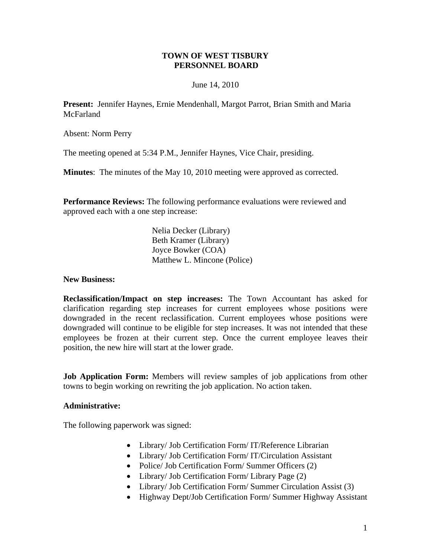## **TOWN OF WEST TISBURY PERSONNEL BOARD**

## June 14, 2010

**Present:** Jennifer Haynes, Ernie Mendenhall, Margot Parrot, Brian Smith and Maria **McFarland** 

Absent: Norm Perry

The meeting opened at 5:34 P.M., Jennifer Haynes, Vice Chair, presiding.

**Minutes**: The minutes of the May 10, 2010 meeting were approved as corrected.

**Performance Reviews:** The following performance evaluations were reviewed and approved each with a one step increase:

> Nelia Decker (Library) Beth Kramer (Library) Joyce Bowker (COA) Matthew L. Mincone (Police)

## **New Business:**

**Reclassification/Impact on step increases:** The Town Accountant has asked for clarification regarding step increases for current employees whose positions were downgraded in the recent reclassification. Current employees whose positions were downgraded will continue to be eligible for step increases. It was not intended that these employees be frozen at their current step. Once the current employee leaves their position, the new hire will start at the lower grade.

**Job Application Form:** Members will review samples of job applications from other towns to begin working on rewriting the job application. No action taken.

## **Administrative:**

The following paperwork was signed:

- Library/ Job Certification Form/ IT/Reference Librarian
- Library/ Job Certification Form/ IT/Circulation Assistant
- Police/ Job Certification Form/ Summer Officers (2)
- Library/ Job Certification Form/ Library Page (2)
- Library/ Job Certification Form/ Summer Circulation Assist (3)
- Highway Dept/Job Certification Form/ Summer Highway Assistant